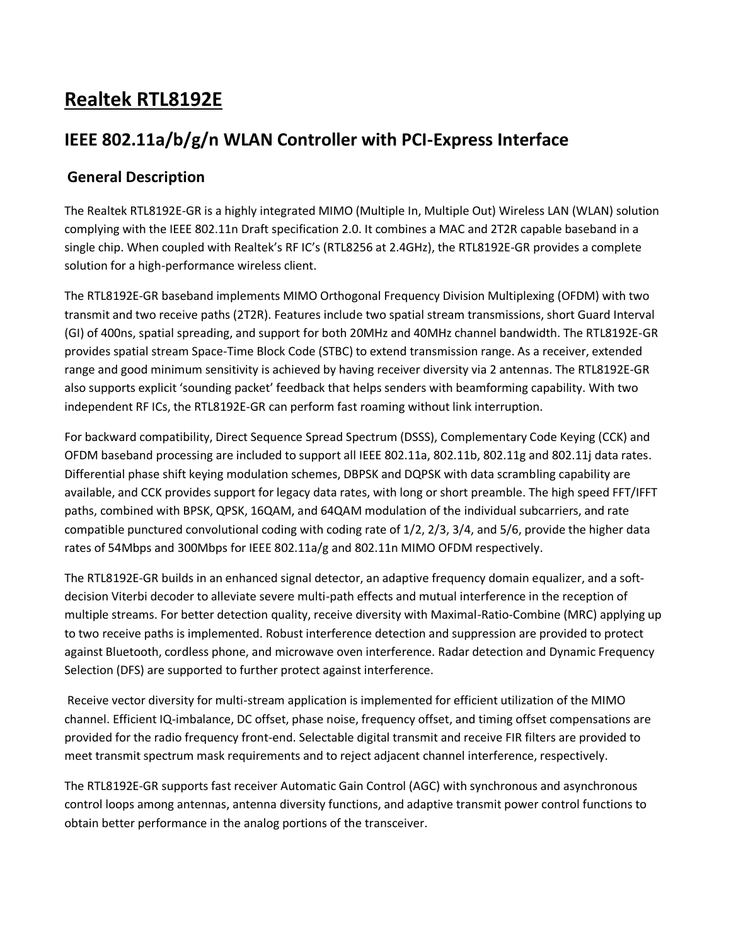# **Realtek RTL8192E**

## **IEEE 802.11a/b/g/n WLAN Controller with PCI-Express Interface**

## **General Description**

The Realtek RTL8192E-GR is a highly integrated MIMO (Multiple In, Multiple Out) Wireless LAN (WLAN) solution complying with the IEEE 802.11n Draft specification 2.0. It combines a MAC and 2T2R capable baseband in a single chip. When coupled with Realtek's RF IC's (RTL8256 at 2.4GHz), the RTL8192E-GR provides a complete solution for a high-performance wireless client.

The RTL8192E-GR baseband implements MIMO Orthogonal Frequency Division Multiplexing (OFDM) with two transmit and two receive paths (2T2R). Features include two spatial stream transmissions, short Guard Interval (GI) of 400ns, spatial spreading, and support for both 20MHz and 40MHz channel bandwidth. The RTL8192E-GR provides spatial stream Space-Time Block Code (STBC) to extend transmission range. As a receiver, extended range and good minimum sensitivity is achieved by having receiver diversity via 2 antennas. The RTL8192E-GR also supports explicit 'sounding packet' feedback that helps senders with beamforming capability. With two independent RF ICs, the RTL8192E-GR can perform fast roaming without link interruption.

For backward compatibility, Direct Sequence Spread Spectrum (DSSS), Complementary Code Keying (CCK) and OFDM baseband processing are included to support all IEEE 802.11a, 802.11b, 802.11g and 802.11j data rates. Differential phase shift keying modulation schemes, DBPSK and DQPSK with data scrambling capability are available, and CCK provides support for legacy data rates, with long or short preamble. The high speed FFT/IFFT paths, combined with BPSK, QPSK, 16QAM, and 64QAM modulation of the individual subcarriers, and rate compatible punctured convolutional coding with coding rate of 1/2, 2/3, 3/4, and 5/6, provide the higher data rates of 54Mbps and 300Mbps for IEEE 802.11a/g and 802.11n MIMO OFDM respectively.

The RTL8192E-GR builds in an enhanced signal detector, an adaptive frequency domain equalizer, and a softdecision Viterbi decoder to alleviate severe multi-path effects and mutual interference in the reception of multiple streams. For better detection quality, receive diversity with Maximal-Ratio-Combine (MRC) applying up to two receive paths is implemented. Robust interference detection and suppression are provided to protect against Bluetooth, cordless phone, and microwave oven interference. Radar detection and Dynamic Frequency Selection (DFS) are supported to further protect against interference.

Receive vector diversity for multi-stream application is implemented for efficient utilization of the MIMO channel. Efficient IQ-imbalance, DC offset, phase noise, frequency offset, and timing offset compensations are provided for the radio frequency front-end. Selectable digital transmit and receive FIR filters are provided to meet transmit spectrum mask requirements and to reject adjacent channel interference, respectively.

The RTL8192E-GR supports fast receiver Automatic Gain Control (AGC) with synchronous and asynchronous control loops among antennas, antenna diversity functions, and adaptive transmit power control functions to obtain better performance in the analog portions of the transceiver.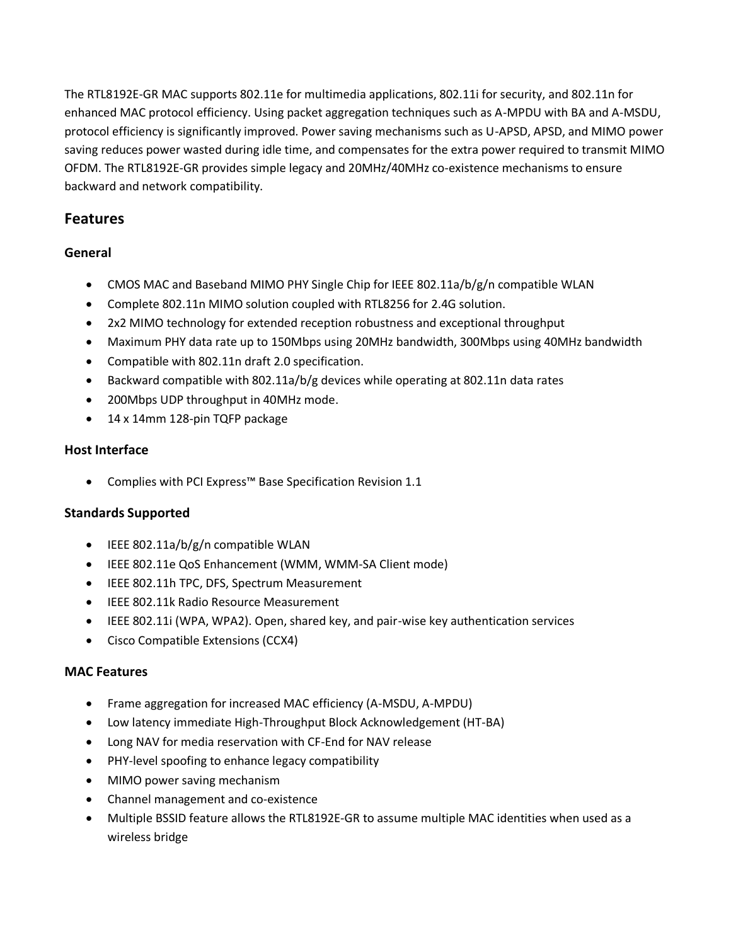The RTL8192E-GR MAC supports 802.11e for multimedia applications, 802.11i for security, and 802.11n for enhanced MAC protocol efficiency. Using packet aggregation techniques such as A-MPDU with BA and A-MSDU, protocol efficiency is significantly improved. Power saving mechanisms such as U-APSD, APSD, and MIMO power saving reduces power wasted during idle time, and compensates for the extra power required to transmit MIMO OFDM. The RTL8192E-GR provides simple legacy and 20MHz/40MHz co-existence mechanisms to ensure backward and network compatibility.

## **Features**

### **General**

- CMOS MAC and Baseband MIMO PHY Single Chip for IEEE 802.11a/b/g/n compatible WLAN
- Complete 802.11n MIMO solution coupled with RTL8256 for 2.4G solution.
- 2x2 MIMO technology for extended reception robustness and exceptional throughput
- Maximum PHY data rate up to 150Mbps using 20MHz bandwidth, 300Mbps using 40MHz bandwidth
- Compatible with 802.11n draft 2.0 specification.
- Backward compatible with 802.11a/b/g devices while operating at 802.11n data rates
- 200Mbps UDP throughput in 40MHz mode.
- 14 x 14mm 128-pin TQFP package

### **Host Interface**

Complies with PCI Express™ Base Specification Revision 1.1

## **Standards Supported**

- $\bullet$  IEEE 802.11a/b/g/n compatible WLAN
- IEEE 802.11e QoS Enhancement (WMM, WMM-SA Client mode)
- IEEE 802.11h TPC, DFS, Spectrum Measurement
- **IEEE 802.11k Radio Resource Measurement**
- IEEE 802.11i (WPA, WPA2). Open, shared key, and pair-wise key authentication services
- Cisco Compatible Extensions (CCX4)

#### **MAC Features**

- Frame aggregation for increased MAC efficiency (A-MSDU, A-MPDU)
- Low latency immediate High-Throughput Block Acknowledgement (HT-BA)
- Long NAV for media reservation with CF-End for NAV release
- PHY-level spoofing to enhance legacy compatibility
- MIMO power saving mechanism
- Channel management and co-existence
- Multiple BSSID feature allows the RTL8192E-GR to assume multiple MAC identities when used as a wireless bridge